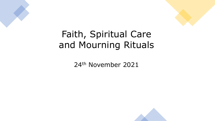

## Faith, Spiritual Care and Mourning Rituals

24th November 2021

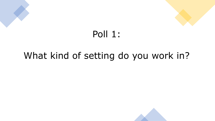

#### Poll 1:

## What kind of setting do you work in?

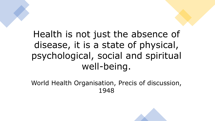Health is not just the absence of disease, it is a state of physical, psychological, social and spiritual well-being.

World Health Organisation, Precis of discussion, 1948

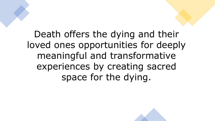Death offers the dying and their loved ones opportunities for deeply meaningful and transformative experiences by creating sacred space for the dying.

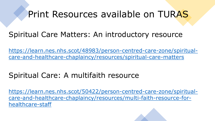# Print Resources available on TURAS

#### Spiritual Care Matters: An introductory resource

[https://learn.nes.nhs.scot/48983/person-centred-care-zone/spiritual](https://learn.nes.nhs.scot/48983/person-centred-care-zone/spiritual-care-and-healthcare-chaplaincy/resources/spiritual-care-matters)care-and-healthcare-chaplaincy/resources/spiritual-care-matters

#### Spiritual Care: A multifaith resource

https://learn.nes.nhs.scot/50422/person-centred-care-zone/spiritual[care-and-healthcare-chaplaincy/resources/multi-faith-resource-for](https://learn.nes.nhs.scot/50422/person-centred-care-zone/spiritual-care-and-healthcare-chaplaincy/resources/multi-faith-resource-for-healthcare-staff)healthcare-staff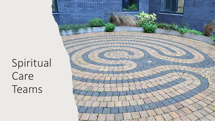Spiritual Care Teams

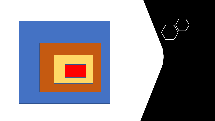

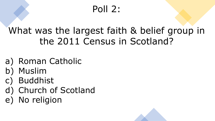# Poll 2:

## What was the largest faith & belief group in the 2011 Census in Scotland?

- a) Roman Catholic
- b) Muslim
- c) Buddhist
- d) Church of Scotland
- e) No religion

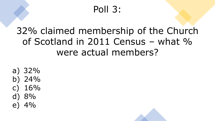# Poll 3:

## 32% claimed membership of the Church of Scotland in 2011 Census - what % were actual members?

- a) 32%
- b) 24%
- c) 16%
- $8%$
- e)  $4\%$

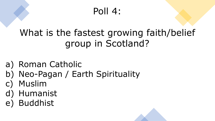## Poll 4:

## What is the fastest growing faith/belief group in Scotland?

- a) Roman Catholic
- b) Neo-Pagan / Earth Spirituality
- c) Muslim
- d) Humanist
- e) Buddhist

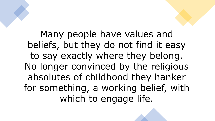Many people have values and beliefs, but they do not find it easy to say exactly where they belong. No longer convinced by the religious absolutes of childhood they hanker for something, a working belief, with which to engage life.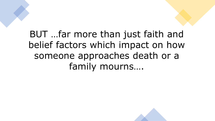## BUT …far more than just faith and belief factors which impact on how someone approaches death or a family mourns….

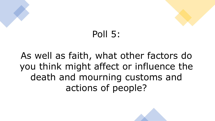

### Poll 5:

As well as faith, what other factors do you think might affect or influence the death and mourning customs and actions of people?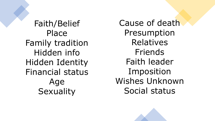Faith/Belief Place Family tradition Hidden info Hidden Identity Financial status Age **Sexuality** 

Cause of death Presumption Relatives Friends Faith leader Imposition Wishes Unknown Social status

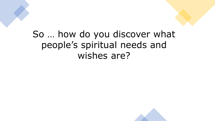#### So … how do you discover what people's spiritual needs and wishes are?

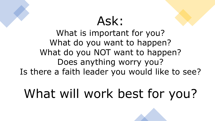# Ask:

What is important for you? What do you want to happen? What do you NOT want to happen? Does anything worry you? Is there a faith leader you would like to see?

# What will work best for you?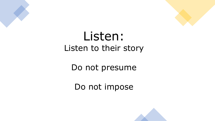

# Listen: Listen to their story

Do not presume

Do not impose

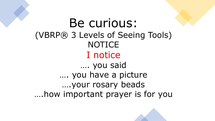Be curious: (VBRP® 3 Levels of Seeing Tools) NOTICE I notice …. you said …. you have a picture ….your rosary beads ….how important prayer is for you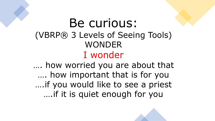#### Be curious: (VBRP® 3 Levels of Seeing Tools) WONDER I wonder

…. how worried you are about that …. how important that is for you ….if you would like to see a priest ….if it is quiet enough for you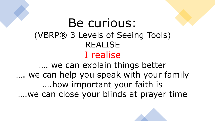#### Be curious: (VBRP® 3 Levels of Seeing Tools) REALISE I realise …. we can explain things better …. we can help you speak with your family ….how important your faith is

….we can close your blinds at prayer time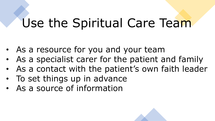# Use the Spiritual Care Team

- As a resource for you and your team
- As a specialist carer for the patient and family
- As a contact with the patient's own faith leader
- To set things up in advance
- As a source of information